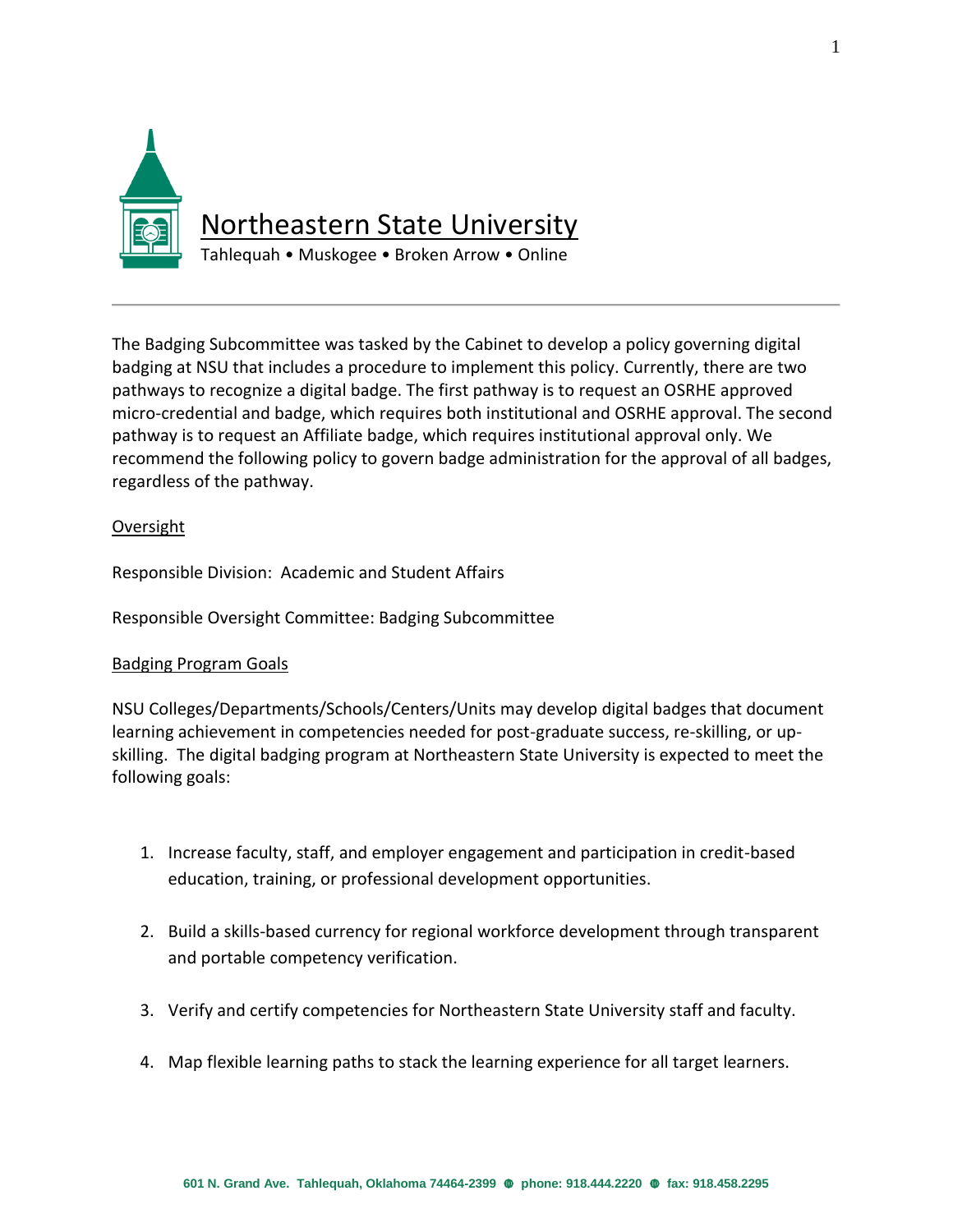

The Badging Subcommittee was tasked by the Cabinet to develop a policy governing digital badging at NSU that includes a procedure to implement this policy. Currently, there are two pathways to recognize a digital badge. The first pathway is to request an OSRHE approved micro-credential and badge, which requires both institutional and OSRHE approval. The second pathway is to request an Affiliate badge, which requires institutional approval only. We recommend the following policy to govern badge administration for the approval of all badges, regardless of the pathway.

# Oversight

Responsible Division: Academic and Student Affairs

Responsible Oversight Committee: Badging Subcommittee

### Badging Program Goals

NSU Colleges/Departments/Schools/Centers/Units may develop digital badges that document learning achievement in competencies needed for post-graduate success, re-skilling, or upskilling. The digital badging program at Northeastern State University is expected to meet the following goals:

- 1. Increase faculty, staff, and employer engagement and participation in credit-based education, training, or professional development opportunities.
- 2. Build a skills-based currency for regional workforce development through transparent and portable competency verification.
- 3. Verify and certify competencies for Northeastern State University staff and faculty.
- 4. Map flexible learning paths to stack the learning experience for all target learners.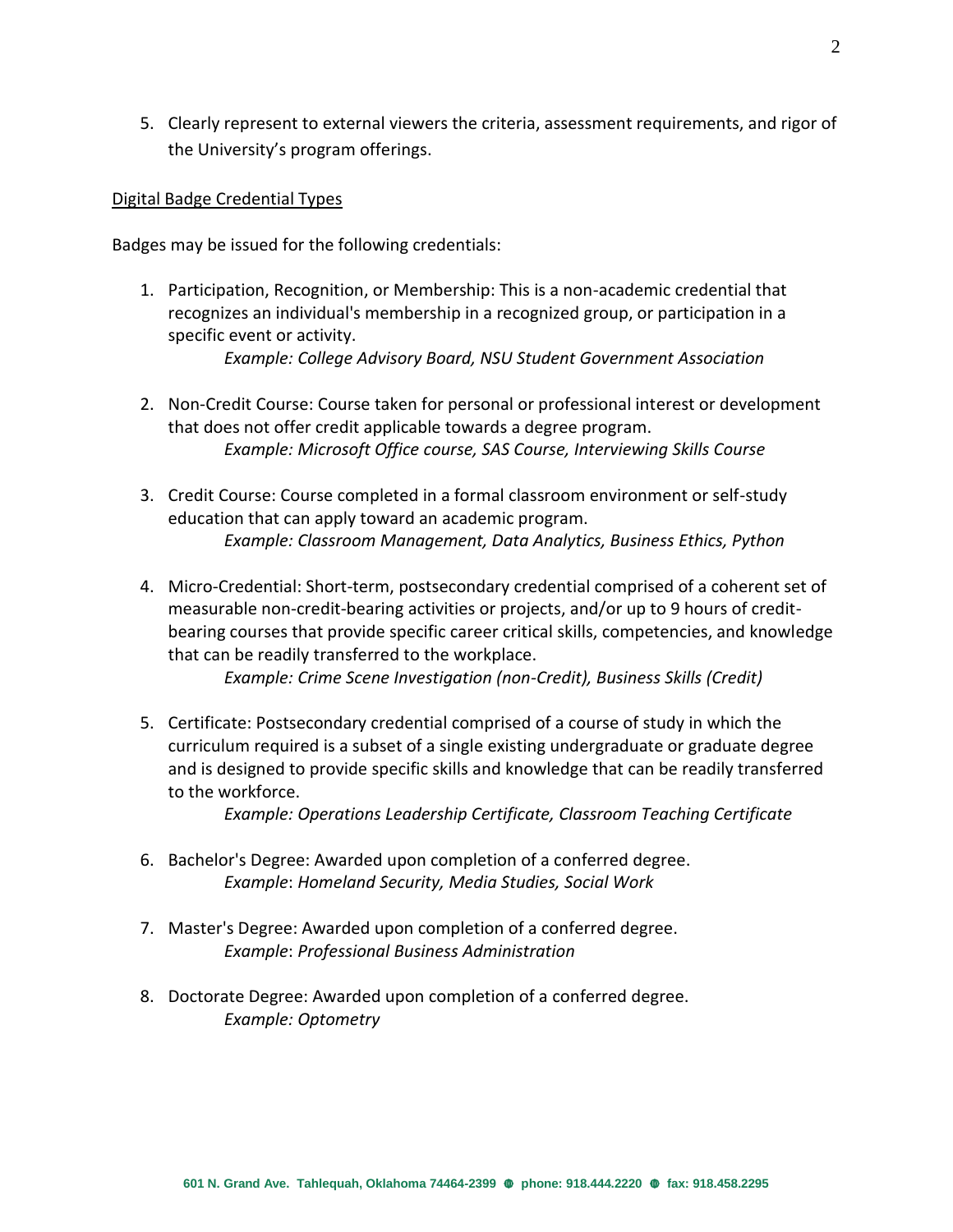5. Clearly represent to external viewers the criteria, assessment requirements, and rigor of the University's program offerings.

### Digital Badge Credential Types

Badges may be issued for the following credentials:

- 1. Participation, Recognition, or Membership: This is a non-academic credential that recognizes an individual's membership in a recognized group, or participation in a specific event or activity. *Example: College Advisory Board, NSU Student Government Association*
	-
- 2. Non-Credit Course: Course taken for personal or professional interest or development that does not offer credit applicable towards a degree program. *Example: Microsoft Office course, SAS Course, Interviewing Skills Course*
- 3. Credit Course: Course completed in a formal classroom environment or self-study education that can apply toward an academic program. *Example: Classroom Management, Data Analytics, Business Ethics, Python*
- 4. Micro-Credential: Short-term, postsecondary credential comprised of a coherent set of measurable non-credit-bearing activities or projects, and/or up to 9 hours of creditbearing courses that provide specific career critical skills, competencies, and knowledge that can be readily transferred to the workplace.

*Example: Crime Scene Investigation (non-Credit), Business Skills (Credit)*

5. Certificate: Postsecondary credential comprised of a course of study in which the curriculum required is a subset of a single existing undergraduate or graduate degree and is designed to provide specific skills and knowledge that can be readily transferred to the workforce.

*Example: Operations Leadership Certificate, Classroom Teaching Certificate*

- 6. Bachelor's Degree: Awarded upon completion of a conferred degree. *Example*: *Homeland Security, Media Studies, Social Work*
- 7. Master's Degree: Awarded upon completion of a conferred degree. *Example*: *Professional Business Administration*
- 8. Doctorate Degree: Awarded upon completion of a conferred degree. *Example: Optometry*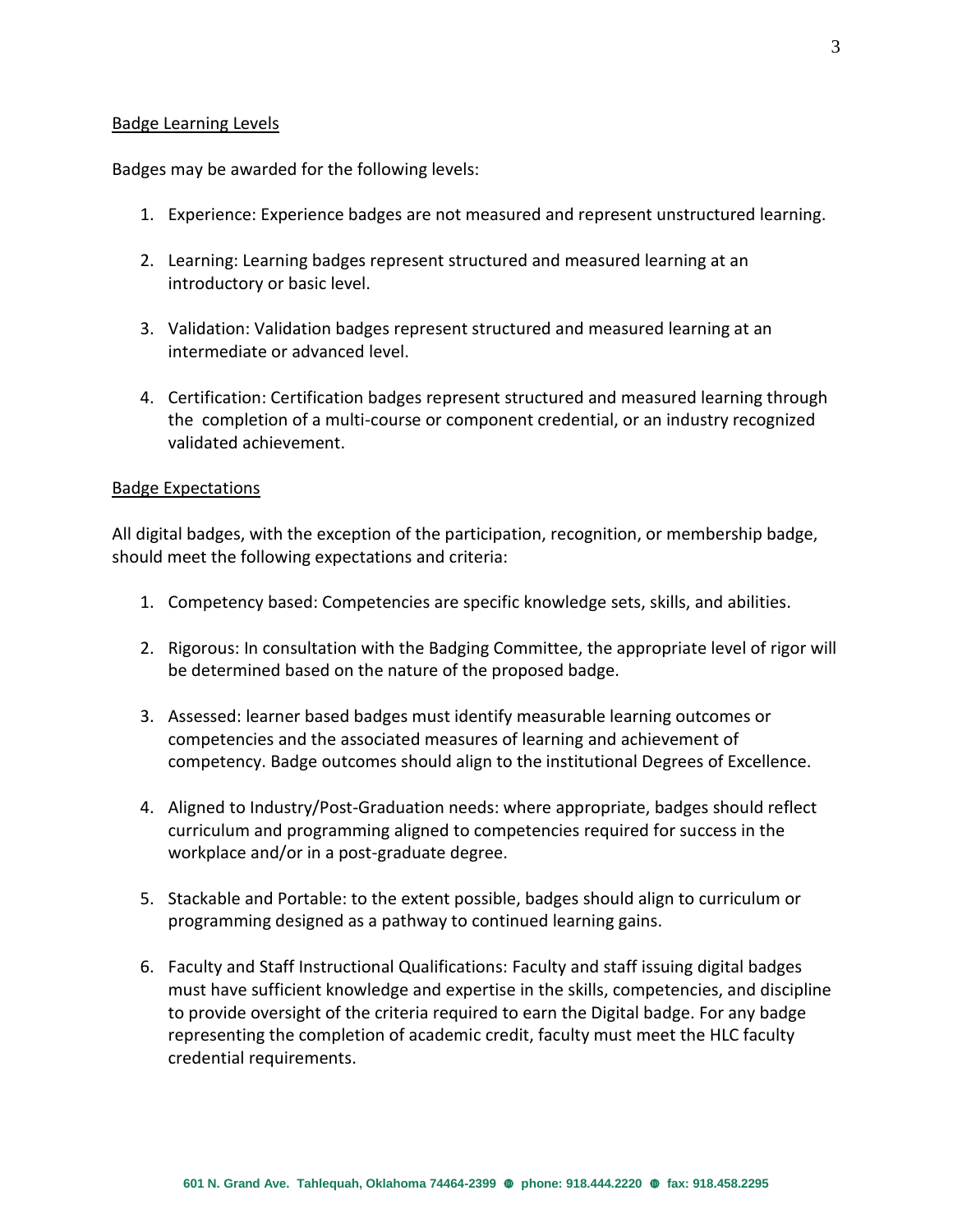### Badge Learning Levels

Badges may be awarded for the following levels:

- 1. Experience: Experience badges are not measured and represent unstructured learning.
- 2. Learning: Learning badges represent structured and measured learning at an introductory or basic level.
- 3. Validation: Validation badges represent structured and measured learning at an intermediate or advanced level.
- 4. Certification: Certification badges represent structured and measured learning through the completion of a multi-course or component credential, or an industry recognized validated achievement.

#### Badge Expectations

All digital badges, with the exception of the participation, recognition, or membership badge, should meet the following expectations and criteria:

- 1. Competency based: Competencies are specific knowledge sets, skills, and abilities.
- 2. Rigorous: In consultation with the Badging Committee, the appropriate level of rigor will be determined based on the nature of the proposed badge.
- 3. Assessed: learner based badges must identify measurable learning outcomes or competencies and the associated measures of learning and achievement of competency. Badge outcomes should align to the institutional Degrees of Excellence.
- 4. Aligned to Industry/Post-Graduation needs: where appropriate, badges should reflect curriculum and programming aligned to competencies required for success in the workplace and/or in a post-graduate degree.
- 5. Stackable and Portable: to the extent possible, badges should align to curriculum or programming designed as a pathway to continued learning gains.
- 6. Faculty and Staff Instructional Qualifications: Faculty and staff issuing digital badges must have sufficient knowledge and expertise in the skills, competencies, and discipline to provide oversight of the criteria required to earn the Digital badge. For any badge representing the completion of academic credit, faculty must meet the HLC faculty credential requirements.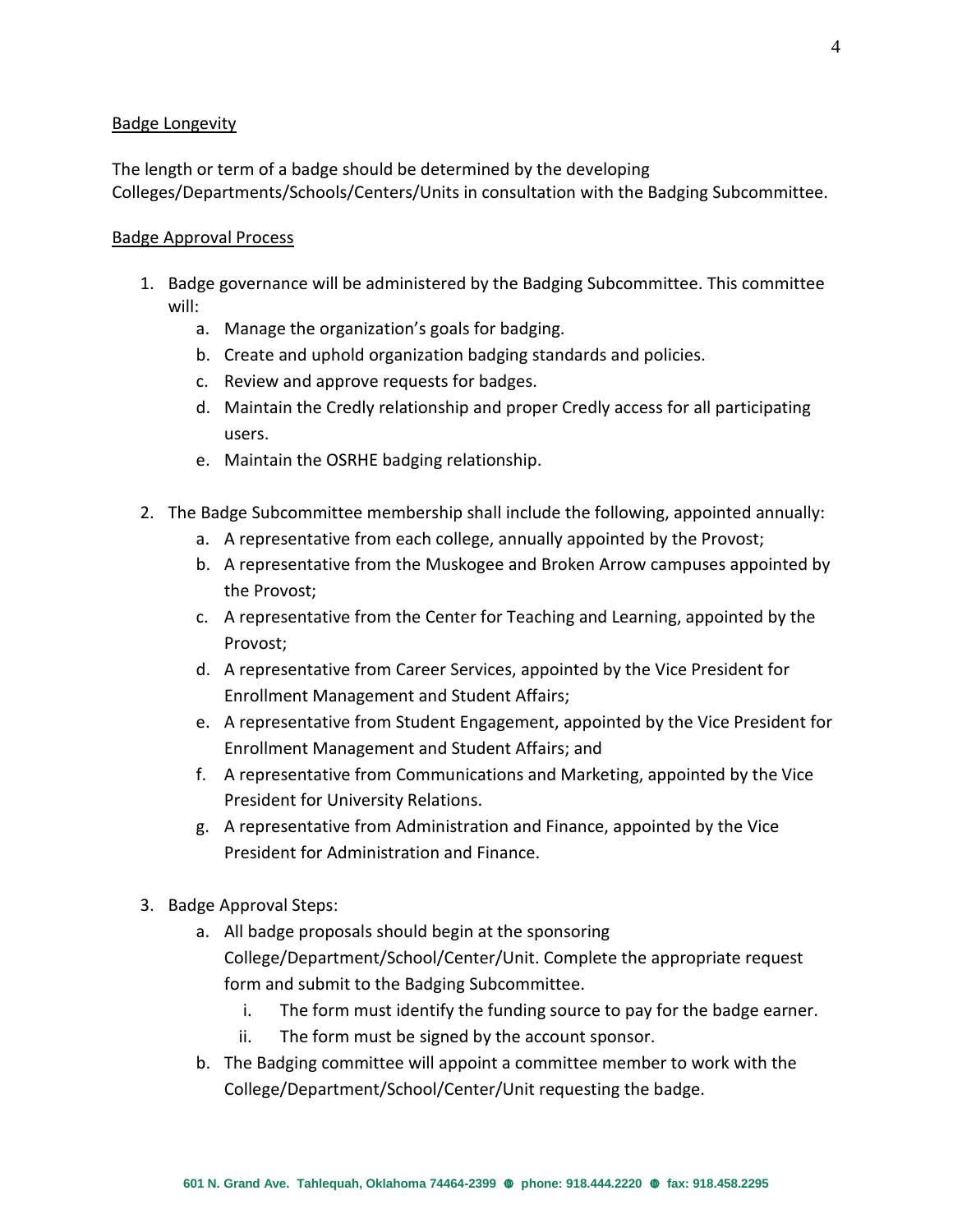# Badge Longevity

The length or term of a badge should be determined by the developing Colleges/Departments/Schools/Centers/Units in consultation with the Badging Subcommittee.

## Badge Approval Process

- 1. Badge governance will be administered by the Badging Subcommittee. This committee will:
	- a. Manage the organization's goals for badging.
	- b. Create and uphold organization badging standards and policies.
	- c. Review and approve requests for badges.
	- d. Maintain the Credly relationship and proper Credly access for all participating users.
	- e. Maintain the OSRHE badging relationship.
- 2. The Badge Subcommittee membership shall include the following, appointed annually:
	- a. A representative from each college, annually appointed by the Provost;
	- b. A representative from the Muskogee and Broken Arrow campuses appointed by the Provost;
	- c. A representative from the Center for Teaching and Learning, appointed by the Provost;
	- d. A representative from Career Services, appointed by the Vice President for Enrollment Management and Student Affairs;
	- e. A representative from Student Engagement, appointed by the Vice President for Enrollment Management and Student Affairs; and
	- f. A representative from Communications and Marketing, appointed by the Vice President for University Relations.
	- g. A representative from Administration and Finance, appointed by the Vice President for Administration and Finance.
- 3. Badge Approval Steps:
	- a. All badge proposals should begin at the sponsoring College/Department/School/Center/Unit. Complete the appropriate request form and submit to the Badging Subcommittee.
		- i. The form must identify the funding source to pay for the badge earner.
		- ii. The form must be signed by the account sponsor.
	- b. The Badging committee will appoint a committee member to work with the College/Department/School/Center/Unit requesting the badge.